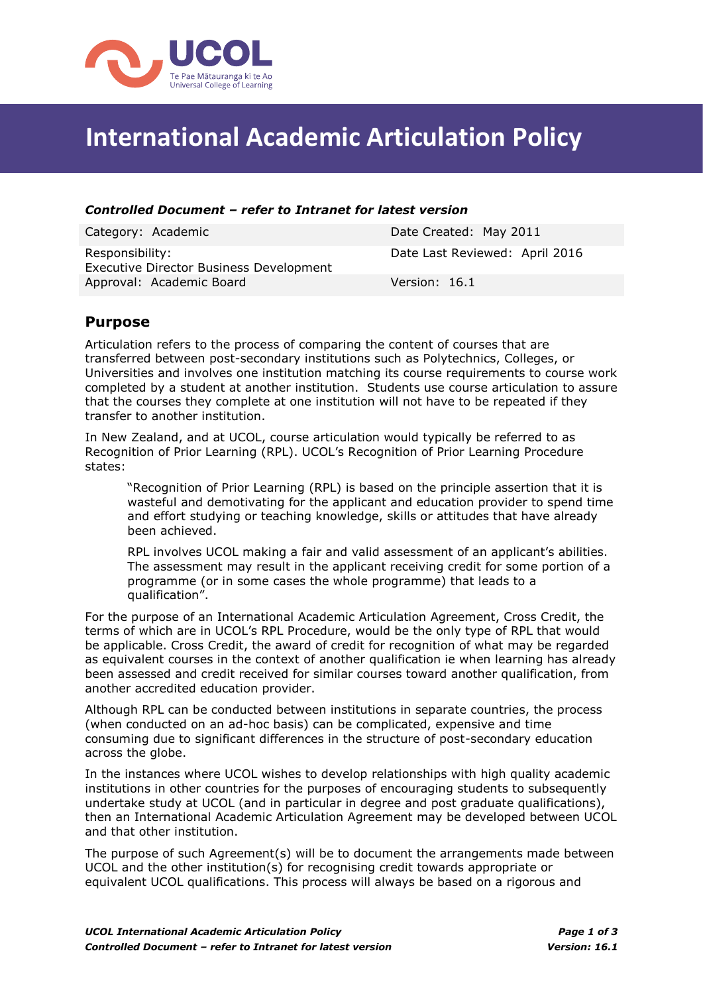

# **International Academic Articulation Policy**

#### *Controlled Document – refer to Intranet for latest version*

| Category: Academic                                                | Date Created: May 2011         |
|-------------------------------------------------------------------|--------------------------------|
| Responsibility:<br><b>Executive Director Business Development</b> | Date Last Reviewed: April 2016 |
| Approval: Academic Board                                          | Version: 16.1                  |

#### **Purpose**

Articulation refers to the process of comparing the content of courses that are transferred between post-secondary institutions such as Polytechnics, Colleges, or Universities and involves one institution matching its course requirements to course work completed by a student at another institution. Students use course articulation to assure that the courses they complete at one institution will not have to be repeated if they transfer to another institution.

In New Zealand, and at UCOL, course articulation would typically be referred to as Recognition of Prior Learning (RPL). UCOL's Recognition of Prior Learning Procedure states:

"Recognition of Prior Learning (RPL) is based on the principle assertion that it is wasteful and demotivating for the applicant and education provider to spend time and effort studying or teaching knowledge, skills or attitudes that have already been achieved.

RPL involves UCOL making a fair and valid assessment of an applicant's abilities. The assessment may result in the applicant receiving credit for some portion of a programme (or in some cases the whole programme) that leads to a qualification".

For the purpose of an International Academic Articulation Agreement, Cross Credit, the terms of which are in UCOL's RPL Procedure, would be the only type of RPL that would be applicable. Cross Credit, the award of credit for recognition of what may be regarded as equivalent courses in the context of another qualification ie when learning has already been assessed and credit received for similar courses toward another qualification, from another accredited education provider.

Although RPL can be conducted between institutions in separate countries, the process (when conducted on an ad-hoc basis) can be complicated, expensive and time consuming due to significant differences in the structure of post-secondary education across the globe.

In the instances where UCOL wishes to develop relationships with high quality academic institutions in other countries for the purposes of encouraging students to subsequently undertake study at UCOL (and in particular in degree and post graduate qualifications), then an International Academic Articulation Agreement may be developed between UCOL and that other institution.

The purpose of such Agreement(s) will be to document the arrangements made between UCOL and the other institution(s) for recognising credit towards appropriate or equivalent UCOL qualifications. This process will always be based on a rigorous and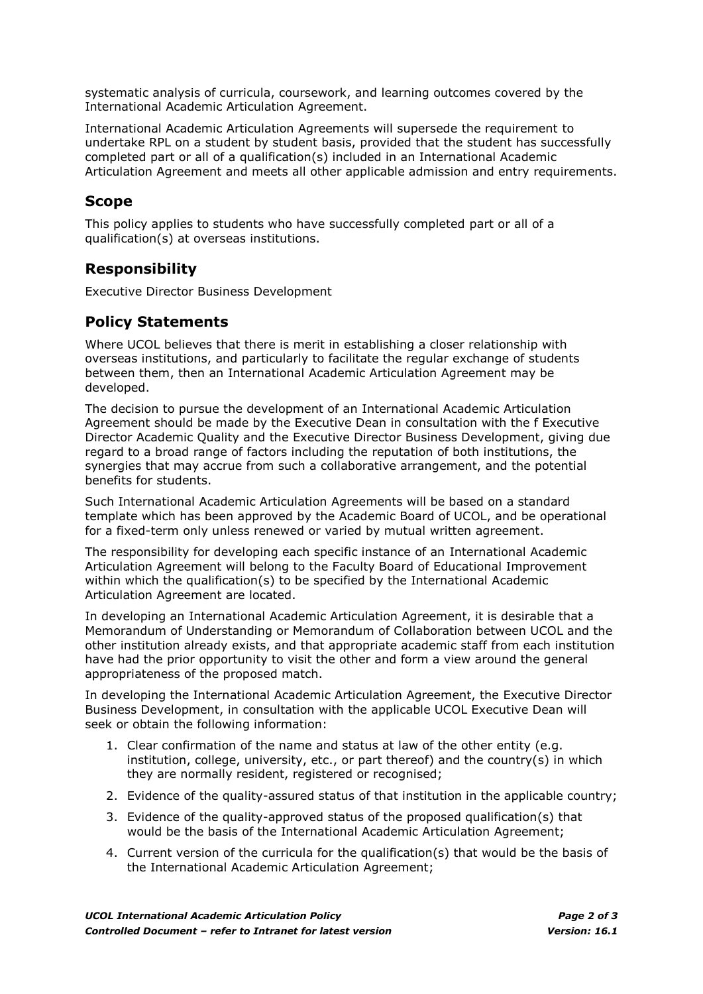systematic analysis of curricula, coursework, and learning outcomes covered by the International Academic Articulation Agreement.

International Academic Articulation Agreements will supersede the requirement to undertake RPL on a student by student basis, provided that the student has successfully completed part or all of a qualification(s) included in an International Academic Articulation Agreement and meets all other applicable admission and entry requirements.

#### **Scope**

This policy applies to students who have successfully completed part or all of a qualification(s) at overseas institutions.

### **Responsibility**

Executive Director Business Development

## **Policy Statements**

Where UCOL believes that there is merit in establishing a closer relationship with overseas institutions, and particularly to facilitate the regular exchange of students between them, then an International Academic Articulation Agreement may be developed.

The decision to pursue the development of an International Academic Articulation Agreement should be made by the Executive Dean in consultation with the f Executive Director Academic Quality and the Executive Director Business Development, giving due regard to a broad range of factors including the reputation of both institutions, the synergies that may accrue from such a collaborative arrangement, and the potential benefits for students.

Such International Academic Articulation Agreements will be based on a standard template which has been approved by the Academic Board of UCOL, and be operational for a fixed-term only unless renewed or varied by mutual written agreement.

The responsibility for developing each specific instance of an International Academic Articulation Agreement will belong to the Faculty Board of Educational Improvement within which the qualification(s) to be specified by the International Academic Articulation Agreement are located.

In developing an International Academic Articulation Agreement, it is desirable that a Memorandum of Understanding or Memorandum of Collaboration between UCOL and the other institution already exists, and that appropriate academic staff from each institution have had the prior opportunity to visit the other and form a view around the general appropriateness of the proposed match.

In developing the International Academic Articulation Agreement, the Executive Director Business Development, in consultation with the applicable UCOL Executive Dean will seek or obtain the following information:

- 1. Clear confirmation of the name and status at law of the other entity (e.g. institution, college, university, etc., or part thereof) and the country(s) in which they are normally resident, registered or recognised;
- 2. Evidence of the quality-assured status of that institution in the applicable country;
- 3. Evidence of the quality-approved status of the proposed qualification(s) that would be the basis of the International Academic Articulation Agreement;
- 4. Current version of the curricula for the qualification(s) that would be the basis of the International Academic Articulation Agreement;